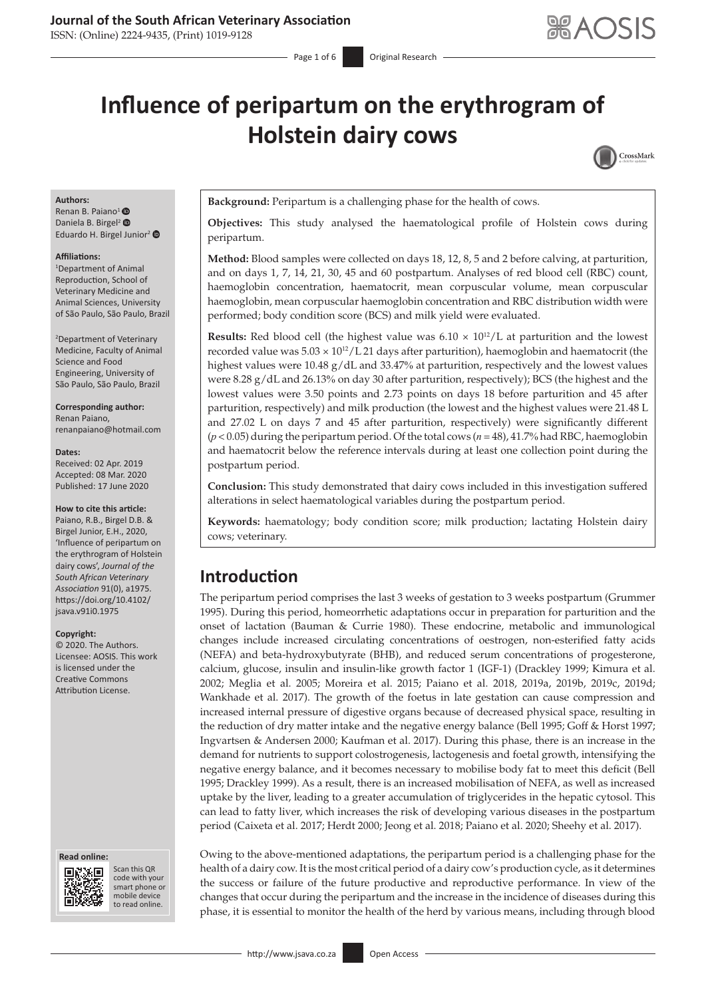### **Journal of the South African Veterinary Association**

ISSN: (Online) 2224-9435, (Print) 1019-9128

# **Influence of peripartum on the erythrogram of Holstein dairy cows**



#### **Authors:**

Renan B. Paiano<sup>[1](https://orcid.org/0000-0003-1039-371X)</sup> Daniela B. Birgel<sup>2</sup> <sup>®</sup> Eduardo H. Birgel Junior<sup>2</sup>

#### **Affiliations:**

1 Department of Animal Reproduction, School of Veterinary Medicine and Animal Sciences, University of São Paulo, São Paulo, Brazil

2 Department of Veterinary Medicine, Faculty of Animal Science and Food Engineering, University of São Paulo, São Paulo, Brazil

#### **Corresponding author:**

Renan Paiano, [renanpaiano@hotmail.com](mailto:renanpaiano@hotmail.com)

#### **Dates:**

Received: 02 Apr. 2019 Accepted: 08 Mar. 2020 Published: 17 June 2020

#### **How to cite this article:**

Paiano, R.B., Birgel D.B. & Birgel Junior, E.H., 2020, 'Influence of peripartum on the erythrogram of Holstein dairy cows', *Journal of the South African Veterinary Association* 91(0), a1975. [https://doi.org/10.4102/](https://doi.org/10.4102/jsava.v91i0.1975) [jsava.v91i0.1975](https://doi.org/10.4102/jsava.v91i0.1975)

#### **Copyright:**

© 2020. The Authors. Licensee: AOSIS. This work is licensed under the Creative Commons Attribution License.

#### **Read online: Read online:**



Scan this QR code with your Scan this QR<br>code with your<br>smart phone or<br>mobile device mobile device to read online. to read online.

**Background:** Peripartum is a challenging phase for the health of cows.

**Objectives:** This study analysed the haematological profile of Holstein cows during peripartum.

**Method:** Blood samples were collected on days 18, 12, 8, 5 and 2 before calving, at parturition, and on days 1, 7, 14, 21, 30, 45 and 60 postpartum. Analyses of red blood cell (RBC) count, haemoglobin concentration, haematocrit, mean corpuscular volume, mean corpuscular haemoglobin, mean corpuscular haemoglobin concentration and RBC distribution width were performed; body condition score (BCS) and milk yield were evaluated.

**Results:** Red blood cell (the highest value was  $6.10 \times 10^{12}/L$  at parturition and the lowest recorded value was  $5.03 \times 10^{12}$ /L 21 days after parturition), haemoglobin and haematocrit (the highest values were 10.48 g/dL and 33.47% at parturition, respectively and the lowest values were 8.28 g/dL and 26.13% on day 30 after parturition, respectively); BCS (the highest and the lowest values were 3.50 points and 2.73 points on days 18 before parturition and 45 after parturition, respectively) and milk production (the lowest and the highest values were 21.48 L and 27.02 L on days 7 and 45 after parturition, respectively) were significantly different (*p* < 0.05) during the peripartum period. Of the total cows (*n* = 48), 41.7% had RBC, haemoglobin and haematocrit below the reference intervals during at least one collection point during the postpartum period.

**Conclusion:** This study demonstrated that dairy cows included in this investigation suffered alterations in select haematological variables during the postpartum period.

**Keywords:** haematology; body condition score; milk production; lactating Holstein dairy cows; veterinary.

# **Introduction**

The peripartum period comprises the last 3 weeks of gestation to 3 weeks postpartum (Grummer 1995). During this period, homeorrhetic adaptations occur in preparation for parturition and the onset of lactation (Bauman & Currie 1980). These endocrine, metabolic and immunological changes include increased circulating concentrations of oestrogen, non-esterified fatty acids (NEFA) and beta-hydroxybutyrate (BHB), and reduced serum concentrations of progesterone, calcium, glucose, insulin and insulin-like growth factor 1 (IGF-1) (Drackley 1999; Kimura et al. 2002; Meglia et al. 2005; Moreira et al. 2015; Paiano et al. 2018, 2019a, 2019b, 2019c, 2019d; Wankhade et al. 2017). The growth of the foetus in late gestation can cause compression and increased internal pressure of digestive organs because of decreased physical space, resulting in the reduction of dry matter intake and the negative energy balance (Bell 1995; Goff & Horst 1997; Ingvartsen & Andersen 2000; Kaufman et al. 2017). During this phase, there is an increase in the demand for nutrients to support colostrogenesis, lactogenesis and foetal growth, intensifying the negative energy balance, and it becomes necessary to mobilise body fat to meet this deficit (Bell 1995; Drackley 1999). As a result, there is an increased mobilisation of NEFA, as well as increased uptake by the liver, leading to a greater accumulation of triglycerides in the hepatic cytosol. This can lead to fatty liver, which increases the risk of developing various diseases in the postpartum period (Caixeta et al. 2017; Herdt 2000; Jeong et al. 2018; Paiano et al. 2020; Sheehy et al. 2017).

Owing to the above-mentioned adaptations, the peripartum period is a challenging phase for the health of a dairy cow. It is the most critical period of a dairy cow's production cycle, as it determines the success or failure of the future productive and reproductive performance. In view of the changes that occur during the peripartum and the increase in the incidence of diseases during this phase, it is essential to monitor the health of the herd by various means, including through blood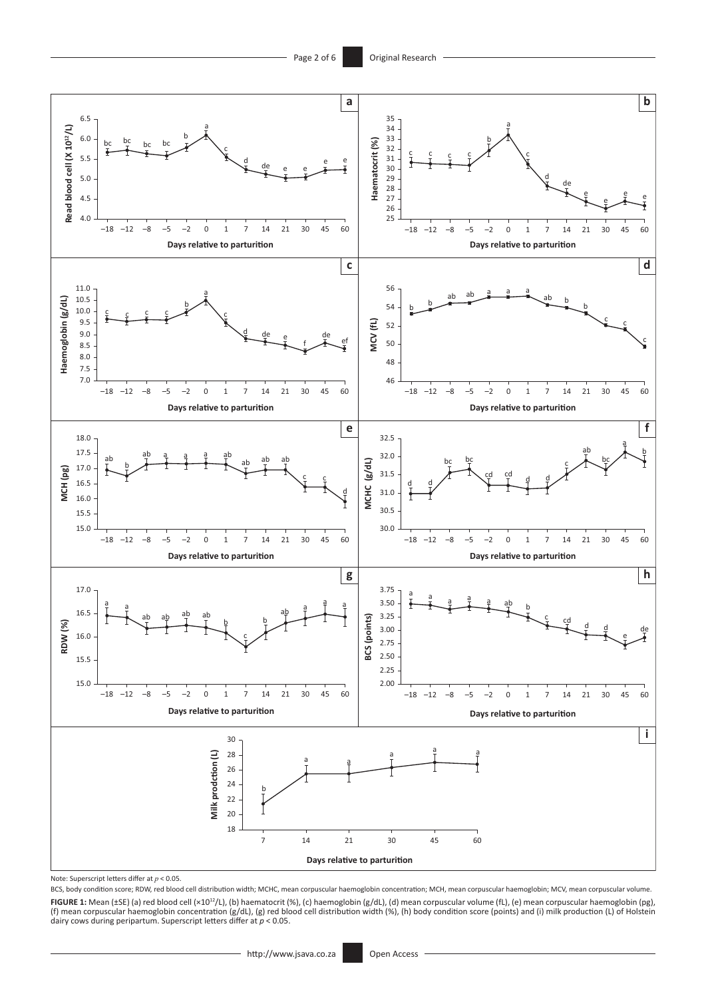

Note: Superscript letters differ at *p* < 0.05.

BCS, body condition score; RDW, red blood cell distribution width; MCHC, mean corpuscular haemoglobin concentration; MCH, mean corpuscular haemoglobin; MCV, mean corpuscular volume. **FIGURE 1:** Mean (±SE) (a) red blood cell (×10<sup>12</sup>/L), (b) haematocrit (%), (c) haemoglobin (g/dL), (d) mean corpuscular volume (fL), (e) mean corpuscular haemoglobin (pg),<br>(f) mean corpuscular haemoglobin concentration (g dairy cows during peripartum. Superscript letters differ at *p* < 0.05.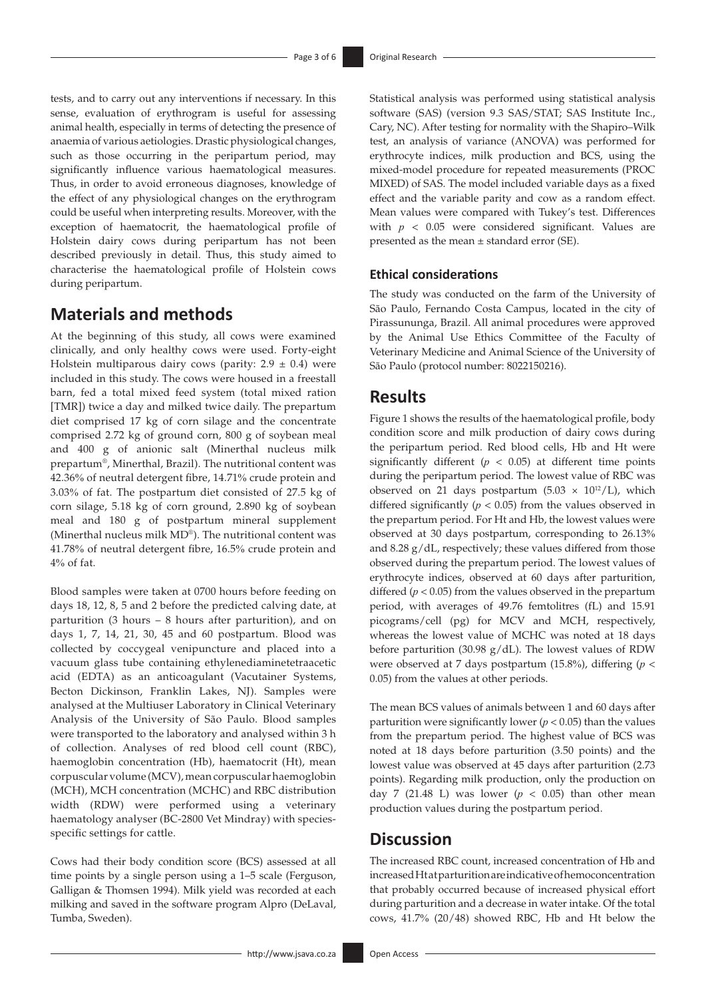tests, and to carry out any interventions if necessary. In this sense, evaluation of erythrogram is useful for assessing animal health, especially in terms of detecting the presence of anaemia of various aetiologies. Drastic physiological changes, such as those occurring in the peripartum period, may significantly influence various haematological measures. Thus, in order to avoid erroneous diagnoses, knowledge of the effect of any physiological changes on the erythrogram could be useful when interpreting results. Moreover, with the exception of haematocrit, the haematological profile of Holstein dairy cows during peripartum has not been described previously in detail. Thus, this study aimed to characterise the haematological profile of Holstein cows during peripartum.

# **Materials and methods**

At the beginning of this study, all cows were examined clinically, and only healthy cows were used. Forty-eight Holstein multiparous dairy cows (parity:  $2.9 \pm 0.4$ ) were included in this study. The cows were housed in a freestall barn, fed a total mixed feed system (total mixed ration [TMR]) twice a day and milked twice daily. The prepartum diet comprised 17 kg of corn silage and the concentrate comprised 2.72 kg of ground corn, 800 g of soybean meal and 400 g of anionic salt (Minerthal nucleus milk prepartum®, Minerthal, Brazil). The nutritional content was 42.36% of neutral detergent fibre, 14.71% crude protein and 3.03% of fat. The postpartum diet consisted of 27.5 kg of corn silage, 5.18 kg of corn ground, 2.890 kg of soybean meal and 180 g of postpartum mineral supplement (Minerthal nucleus milk MD®). The nutritional content was 41.78% of neutral detergent fibre, 16.5% crude protein and 4% of fat.

Blood samples were taken at 0700 hours before feeding on days 18, 12, 8, 5 and 2 before the predicted calving date, at parturition (3 hours – 8 hours after parturition), and on days 1, 7, 14, 21, 30, 45 and 60 postpartum. Blood was collected by coccygeal venipuncture and placed into a vacuum glass tube containing ethylenediaminetetraacetic acid (EDTA) as an anticoagulant (Vacutainer Systems, Becton Dickinson, Franklin Lakes, NJ). Samples were analysed at the Multiuser Laboratory in Clinical Veterinary Analysis of the University of São Paulo. Blood samples were transported to the laboratory and analysed within 3 h of collection. Analyses of red blood cell count (RBC), haemoglobin concentration (Hb), haematocrit (Ht), mean corpuscular volume (MCV), mean corpuscular haemoglobin (MCH), MCH concentration (MCHC) and RBC distribution width (RDW) were performed using a veterinary haematology analyser (BC-2800 Vet Mindray) with speciesspecific settings for cattle.

Cows had their body condition score (BCS) assessed at all time points by a single person using a 1–5 scale (Ferguson, Galligan & Thomsen 1994). Milk yield was recorded at each milking and saved in the software program Alpro (DeLaval, Tumba, Sweden).

Statistical analysis was performed using statistical analysis software (SAS) (version 9.3 SAS/STAT; SAS Institute Inc., Cary, NC). After testing for normality with the Shapiro–Wilk test, an analysis of variance (ANOVA) was performed for erythrocyte indices, milk production and BCS, using the mixed-model procedure for repeated measurements (PROC MIXED) of SAS. The model included variable days as a fixed effect and the variable parity and cow as a random effect. Mean values were compared with Tukey's test. Differences with *p* < 0.05 were considered significant. Values are presented as the mean ± standard error (SE).

### **Ethical considerations**

The study was conducted on the farm of the University of São Paulo, Fernando Costa Campus, located in the city of Pirassununga, Brazil. All animal procedures were approved by the Animal Use Ethics Committee of the Faculty of Veterinary Medicine and Animal Science of the University of São Paulo (protocol number: 8022150216).

# **Results**

Figure 1 shows the results of the haematological profile, body condition score and milk production of dairy cows during the peripartum period. Red blood cells, Hb and Ht were significantly different ( $p < 0.05$ ) at different time points during the peripartum period. The lowest value of RBC was observed on 21 days postpartum (5.03  $\times$  10<sup>12</sup>/L), which differed significantly  $(p < 0.05)$  from the values observed in the prepartum period. For Ht and Hb, the lowest values were observed at 30 days postpartum, corresponding to 26.13% and 8.28 g/dL, respectively; these values differed from those observed during the prepartum period. The lowest values of erythrocyte indices, observed at 60 days after parturition, differed  $(p < 0.05)$  from the values observed in the prepartum period, with averages of 49.76 femtolitres (fL) and 15.91 picograms/cell (pg) for MCV and MCH, respectively, whereas the lowest value of MCHC was noted at 18 days before parturition (30.98 g/dL). The lowest values of RDW were observed at 7 days postpartum (15.8%), differing (*p* < 0.05) from the values at other periods.

The mean BCS values of animals between 1 and 60 days after parturition were significantly lower ( $p < 0.05$ ) than the values from the prepartum period. The highest value of BCS was noted at 18 days before parturition (3.50 points) and the lowest value was observed at 45 days after parturition (2.73 points). Regarding milk production, only the production on day 7 (21.48 L) was lower ( $p < 0.05$ ) than other mean production values during the postpartum period.

# **Discussion**

The increased RBC count, increased concentration of Hb and increased Ht at parturition are indicative of hemoconcentration that probably occurred because of increased physical effort during parturition and a decrease in water intake. Of the total cows, 41.7% (20/48) showed RBC, Hb and Ht below the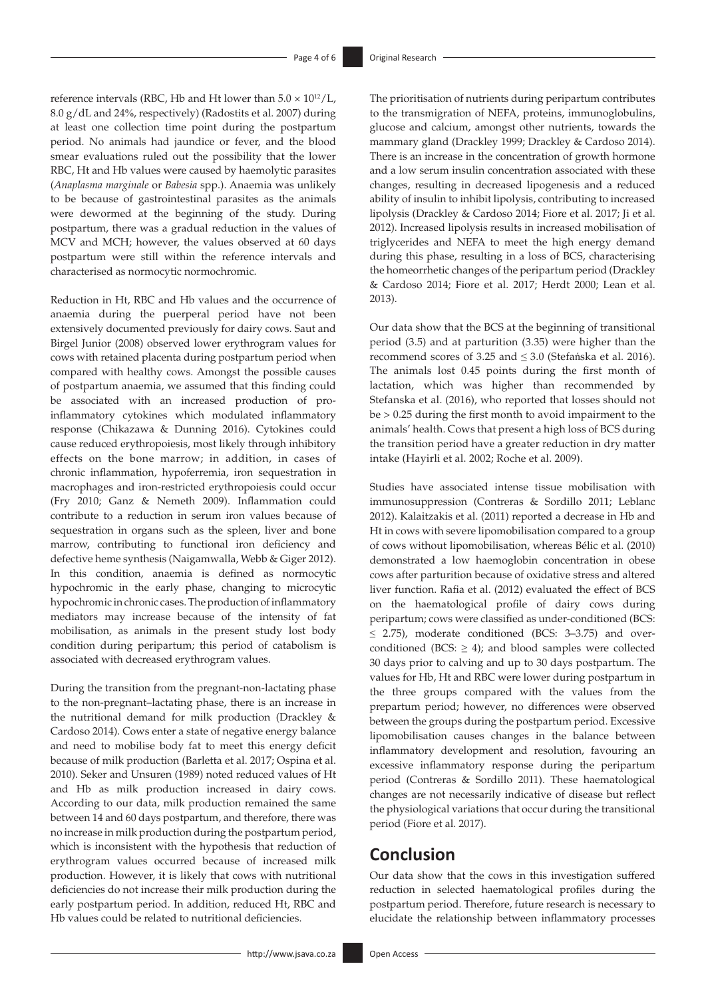reference intervals (RBC, Hb and Ht lower than  $5.0 \times 10^{12}$ /L, 8.0 g/dL and 24%, respectively) (Radostits et al. 2007) during at least one collection time point during the postpartum period. No animals had jaundice or fever, and the blood smear evaluations ruled out the possibility that the lower RBC, Ht and Hb values were caused by haemolytic parasites (*Anaplasma marginale* or *Babesia* spp.). Anaemia was unlikely to be because of gastrointestinal parasites as the animals were dewormed at the beginning of the study. During postpartum, there was a gradual reduction in the values of MCV and MCH; however, the values observed at 60 days postpartum were still within the reference intervals and characterised as normocytic normochromic.

Reduction in Ht, RBC and Hb values and the occurrence of anaemia during the puerperal period have not been extensively documented previously for dairy cows. Saut and Birgel Junior (2008) observed lower erythrogram values for cows with retained placenta during postpartum period when compared with healthy cows. Amongst the possible causes of postpartum anaemia, we assumed that this finding could be associated with an increased production of proinflammatory cytokines which modulated inflammatory response (Chikazawa & Dunning 2016). Cytokines could cause reduced erythropoiesis, most likely through inhibitory effects on the bone marrow; in addition, in cases of chronic inflammation, hypoferremia, iron sequestration in macrophages and iron-restricted erythropoiesis could occur (Fry 2010; Ganz & Nemeth 2009). Inflammation could contribute to a reduction in serum iron values because of sequestration in organs such as the spleen, liver and bone marrow, contributing to functional iron deficiency and defective heme synthesis (Naigamwalla, Webb & Giger 2012). In this condition, anaemia is defined as normocytic hypochromic in the early phase, changing to microcytic hypochromic in chronic cases. The production of inflammatory mediators may increase because of the intensity of fat mobilisation, as animals in the present study lost body condition during peripartum; this period of catabolism is associated with decreased erythrogram values.

During the transition from the pregnant-non-lactating phase to the non-pregnant–lactating phase, there is an increase in the nutritional demand for milk production (Drackley & Cardoso 2014). Cows enter a state of negative energy balance and need to mobilise body fat to meet this energy deficit because of milk production (Barletta et al. 2017; Ospina et al. 2010). Seker and Unsuren (1989) noted reduced values of Ht and Hb as milk production increased in dairy cows. According to our data, milk production remained the same between 14 and 60 days postpartum, and therefore, there was no increase in milk production during the postpartum period, which is inconsistent with the hypothesis that reduction of erythrogram values occurred because of increased milk production. However, it is likely that cows with nutritional deficiencies do not increase their milk production during the early postpartum period. In addition, reduced Ht, RBC and Hb values could be related to nutritional deficiencies.

The prioritisation of nutrients during peripartum contributes to the transmigration of NEFA, proteins, immunoglobulins, glucose and calcium, amongst other nutrients, towards the mammary gland (Drackley 1999; Drackley & Cardoso 2014). There is an increase in the concentration of growth hormone and a low serum insulin concentration associated with these changes, resulting in decreased lipogenesis and a reduced ability of insulin to inhibit lipolysis, contributing to increased lipolysis (Drackley & Cardoso 2014; Fiore et al. 2017; Ji et al. 2012). Increased lipolysis results in increased mobilisation of triglycerides and NEFA to meet the high energy demand during this phase, resulting in a loss of BCS, characterising the homeorrhetic changes of the peripartum period (Drackley & Cardoso 2014; Fiore et al. 2017; Herdt 2000; Lean et al. 2013).

Our data show that the BCS at the beginning of transitional period (3.5) and at parturition (3.35) were higher than the recommend scores of 3.25 and ≤ 3.0 (Stefańska et al. 2016). The animals lost 0.45 points during the first month of lactation, which was higher than recommended by Stefanska et al. (2016), who reported that losses should not be > 0.25 during the first month to avoid impairment to the animals' health. Cows that present a high loss of BCS during the transition period have a greater reduction in dry matter intake (Hayirli et al. 2002; Roche et al. 2009).

Studies have associated intense tissue mobilisation with immunosuppression (Contreras & Sordillo 2011; Leblanc 2012). Kalaitzakis et al. (2011) reported a decrease in Hb and Ht in cows with severe lipomobilisation compared to a group of cows without lipomobilisation, whereas Bélic et al. (2010) demonstrated a low haemoglobin concentration in obese cows after parturition because of oxidative stress and altered liver function. Rafia et al. (2012) evaluated the effect of BCS on the haematological profile of dairy cows during peripartum; cows were classified as under-conditioned (BCS:  $\leq$  2.75), moderate conditioned (BCS: 3-3.75) and overconditioned (BCS:  $\geq$  4); and blood samples were collected 30 days prior to calving and up to 30 days postpartum. The values for Hb, Ht and RBC were lower during postpartum in the three groups compared with the values from the prepartum period; however, no differences were observed between the groups during the postpartum period. Excessive lipomobilisation causes changes in the balance between inflammatory development and resolution, favouring an excessive inflammatory response during the peripartum period (Contreras & Sordillo 2011). These haematological changes are not necessarily indicative of disease but reflect the physiological variations that occur during the transitional period (Fiore et al. 2017).

# **Conclusion**

Our data show that the cows in this investigation suffered reduction in selected haematological profiles during the postpartum period. Therefore, future research is necessary to elucidate the relationship between inflammatory processes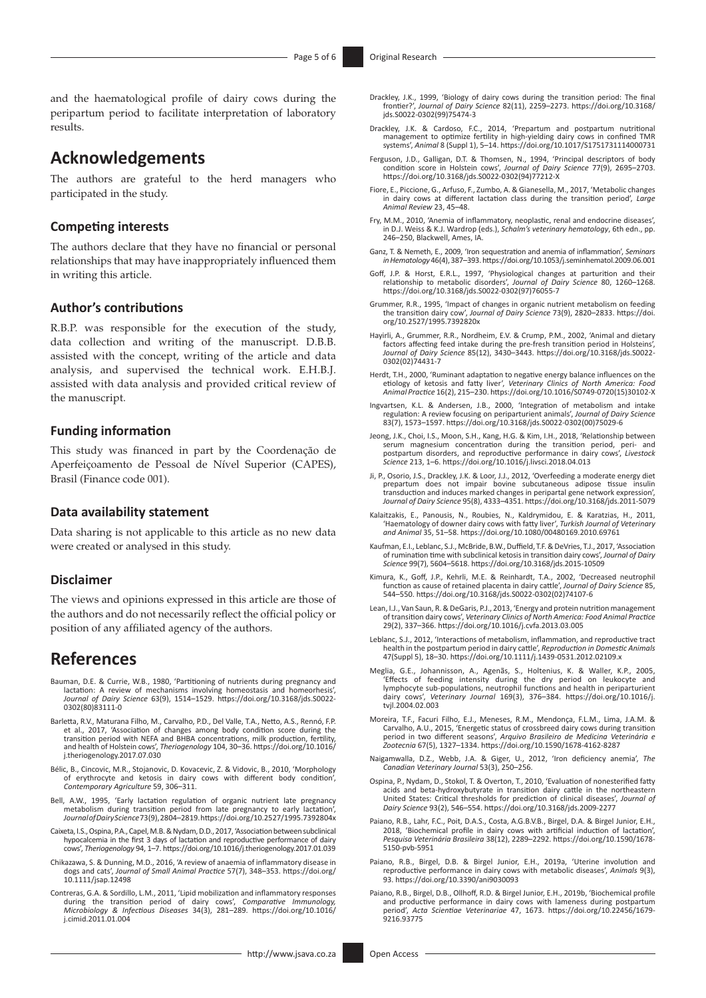and the haematological profile of dairy cows during the peripartum period to facilitate interpretation of laboratory results.

# **Acknowledgements**

The authors are grateful to the herd managers who participated in the study.

### **Competing interests**

The authors declare that they have no financial or personal relationships that may have inappropriately influenced them in writing this article.

### **Author's contributions**

R.B.P. was responsible for the execution of the study, data collection and writing of the manuscript. D.B.B. assisted with the concept, writing of the article and data analysis, and supervised the technical work. E.H.B.J. assisted with data analysis and provided critical review of the manuscript.

#### **Funding information**

This study was financed in part by the Coordenação de Aperfeiçoamento de Pessoal de Nível Superior (CAPES), Brasil (Finance code 001).

### **Data availability statement**

Data sharing is not applicable to this article as no new data were created or analysed in this study.

### **Disclaimer**

The views and opinions expressed in this article are those of the authors and do not necessarily reflect the official policy or position of any affiliated agency of the authors.

# **References**

- Bauman, D.E. & Currie, W.B., 1980, 'Partitioning of nutrients during pregnancy and lactation: A review of mechanisms involving homeostasis and homeorhesis', *Journal of Dairy Science* 63(9), 1514–1529. [https://doi.org/10.3168/jds.S0022-](https://doi.org/10.3168/jds.S0022-0302(80)83111-0) [0302\(80\)83111-0](https://doi.org/10.3168/jds.S0022-0302(80)83111-0)
- Barletta, R.V., Maturana Filho, M., Carvalho, P.D., Del Valle, T.A., Netto, A.S., Rennó, F.P.<br>et al., 2017, 'Association of changes among body condition score during the<br>transition period with NEFA and BHBA concentrations, and health of Holstein cows', *Theriogenology* 104, 30–36. [https://doi.org/10.1016/](https://doi.org/10.1016/j.theriogenology.2017.07.030) [j.theriogenology.2017.07.030](https://doi.org/10.1016/j.theriogenology.2017.07.030)
- Bélic, B., Cincovic, M.R., Stojanovic, D. Kovacevic, Z. & Vidovic, B., 2010, 'Morphology of erythrocyte and ketosis in dairy cows with different body condition', *Contemporary Agriculture* 59, 306–311.
- Bell, A.W., 1995, 'Early lactation regulation of organic nutrient late pregnancy metabolism during transition period from late pregnancy to early lactation', *Journal of Dairy Science* 73(9), 2804–2819.<https://doi.org/10.2527/1995.7392804x>
- Caixeta, I.S., Ospina, P.A., Capel, M.B. & Nydam, D.D., 2017, 'Association between subclinical hypocalcemia in the first 3 days of lactation and reproductive performance of dairy cows', *Theriogenology* 94, 1–7.<https://doi.org/10.1016/j.theriogenology.2017.01.039>
- Chikazawa, S. & Dunning, M.D., 2016, 'A review of anaemia of inflammatory disease in dogs and cats', *Journal of Small Animal Practice* 57(7), 348–353. [https://doi.org/](https://doi.org/10.1111/jsap.12498) [10.1111/jsap.12498](https://doi.org/10.1111/jsap.12498)
- Contreras, G.A. & Sordillo, L.M., 2011, 'Lipid mobilization and inflammatory responses during the transition period of dairy cows', *Comparative Immunology, Microbiology & Infectious Diseases* 34(3), 281–289. [https://doi.org/10.1016/](https://doi.org/10.1016/j.cimid.2011.01.004) [j.cimid.2011.01.004](https://doi.org/10.1016/j.cimid.2011.01.004)
- Drackley, J.K., 1999, 'Biology of dairy cows during the transition period: The final frontier?', *Journal of Dairy Science* 82(11), 2259–2273. [https://doi.org/10.3168/](https://doi.org/10.3168/jds.S0022-0302(99)75474-3) [jds.S0022-0302\(99\)75474-3](https://doi.org/10.3168/jds.S0022-0302(99)75474-3)
- Drackley, J.K. & Cardoso, F.C., 2014, 'Prepartum and postpartum nutritional management to optimize fertility in high-yielding dairy cows in confined TMR systems', *Animal* 8 (Suppl 1), 5–14.<https://doi.org/10.1017/S1751731114000731>
- Ferguson, J.D., Galligan, D.T. & Thomsen, N., 1994, 'Principal descriptors of body condition score in Holstein cows', *Journal of Dairy Science* 77(9), 2695–2703. [https://doi.org/10.3168/jds.S0022-0302\(94\)77212-X](https://doi.org/10.3168/jds.S0022-0302(94)77212-X)
- Fiore, E., Piccione, G., Arfuso, F., Zumbo, A. & Gianesella, M., 2017, 'Metabolic changes in dairy cows at different lactation class during the transition period', *Large Animal Review* 23, 45–48.
- Fry, M.M., 2010, 'Anemia of inflammatory, neoplastic, renal and endocrine diseases', in D.J. Weiss & K.J. Wardrop (eds.), *Schalm's veterinary hematology*, 6th edn., pp. 246–250, Blackwell, Ames, IA.
- Ganz, T. & Nemeth, E., 2009, 'Iron sequestration and anemia of inflammation', *Seminars in Hematology* 46(4), 387–393.<https://doi.org/10.1053/j.seminhematol.2009.06.001>
- Goff, J.P. & Horst, E.R.L., 1997, 'Physiological changes at parturition and their relationship to metabolic disorders', *Journal of Dairy Science* 80, 1260–1268. [https://doi.org/10.3168/jds.S0022-0302\(97\)76055-7](https://doi.org/10.3168/jds.S0022-0302(97)76055-7)
- Grummer, R.R., 1995, 'Impact of changes in organic nutrient metabolism on feeding the transition dairy cow', *Journal of Dairy Science* 73(9), 2820–2833. [https://doi.](https://doi.org/10.2527/1995.7392820x) [org/10.2527/1995.7392820x](https://doi.org/10.2527/1995.7392820x)
- Hayirli, A., Grummer, R.R., Nordheim, E.V. & Crump, P.M., 2002, 'Animal and dietary factors affecting feed intake during the pre-fresh transition period in Holsteins' *Journal of Dairy Science* 85(12), 3430–3443. [https://doi.org/10.3168/jds.S0022-](https://doi.org/10.3168/jds.S0022-0302(02)74431-7) [0302\(02\)74431-7](https://doi.org/10.3168/jds.S0022-0302(02)74431-7)
- Herdt, T.H., 2000, 'Ruminant adaptation to negative energy balance influences on the etiology of ketosis and fatty liver', *Veterinary Clinics of North America: Food Animal Practice* 16(2), 215–230. [https://doi.org/10.1016/S0749-0720\(15\)30102-X](https://doi.org/10.1016/S0749-0720(15)30102-X)
- Ingvartsen, K.L. & Andersen, J.B., 2000, 'Integration of metabolism and intake regulation: A review focusing on periparturient animals', *Journal of Dairy Science*  83(7), 1573–1597. [https://doi.org/10.3168/jds.S0022-0302\(00\)75029-6](https://doi.org/10.3168/jds.S0022-0302(00)75029-6)
- Jeong, J.K., Choi, I.S., Moon, S.H., Kang, H.G. & Kim, I.H., 2018, 'Relationship between serum magnesium concentration during the transition period, peri- and postpartum disorders, and reproductive performance in dairy cows', *Livestock Science* 213, 1–6.<https://doi.org/10.1016/j.livsci.2018.04.013>
- Ji, P., Osorio, J.S., Drackley, J.K. & Loor, J.J., 2012, 'Overfeeding a moderate energy diet prepartum does not impair bovine subcutaneous adipose tissue insulin transduction and induces marked changes in peripartal gene network expression', *Journal of Dairy Science* 95(8), 4333–4351.<https://doi.org/10.3168/jds.2011-5079>
- Kalaitzakis, E., Panousis, N., Roubies, N., Kaldrymidou, E. & Karatzias, H., 2011, 'Haematology of downer dairy cows with fatty liver', *Turkish Journal of Veterinary and Animal* 35, 51–58. <https://doi.org/10.1080/00480169.2010.69761>
- Kaufman, E.I., Leblanc, S.J., McBride, B.W., Duffield, T.F. & DeVries, T.J., 2017, 'Association of rumination time with subclinical ketosis in transition dairy cows', *Journal of Dairy Science* 99(7), 5604–5618. <https://doi.org/10.3168/jds.2015-10509>
- Kimura, K., Goff, J.P., Kehrli, M.E. & Reinhardt, T.A., 2002, 'Decreased neutrophil function as cause of retained placenta in dairy cattle', *Journal of Dairy Science* 85, 544–550. [https://doi.org/10.3168/jds.S0022-0302\(02\)74107-6](https://doi.org/10.3168/jds.S0022-0302(02)74107-6)
- Lean, I.J., Van Saun, R. & DeGaris, P.J., 2013, 'Energy and protein nutrition management of transition dairy cows', *Veterinary Clinics of North America: Food Animal Practice* 29(2), 337–366.<https://doi.org/10.1016/j.cvfa.2013.03.005>
- Leblanc, S.J., 2012, 'Interactions of metabolism, inflammation, and reproductive tract health in the postpartum period in dairy cattle', *Reproduction in Domestic Animals*  47(Suppl 5), 18–30. <https://doi.org/10.1111/j.1439-0531.2012.02109.x>
- Meglia, G.E., Johannisson, A., Agenãs, S., Holtenius, K. & Waller, K.P., 2005, 'Effects of feeding intensity during the dry period on leukocyte and lymphocyte sub-populations, neutrophil functions and health in periparturient dairy cows', *Veterinary Journal* 169(3), 376–384. [https://doi.org/10.1016/j.](https://doi.org/10.1016/j.tvjl.2004.02.003) [tvjl.2004.02.003](https://doi.org/10.1016/j.tvjl.2004.02.003)
- Moreira, T.F., Facuri Filho, E.J., Meneses, R.M., Mendonça, F.L.M., Lima, J.A.M. & Carvalho, A.U., 2015, 'Energetic status of crossbreed dairy cows during transition period in two different seasons', *Arquivo Brasileiro de Medicina Veterinária e Zootecnia* 67(5), 1327–1334. <https://doi.org/10.1590/1678-4162-8287>
- Naigamwalla, D.Z., Webb, J.A. & Giger, U., 2012, 'Iron deficiency anemia', *The Canadian Veterinary Journal* 53(3), 250–256.
- Ospina, P., Nydam, D., Stokol, T. & Overton, T., 2010, 'Evaluation of nonesterified fatty acids and beta-hydroxybutyrate in transition dairy cattle in the northeastern United States: Critical thresholds for prediction of clinical diseases', *Journal of Dairy Science* 93(2), 546–554. <https://doi.org/10.3168/jds.2009-2277>
- Paiano, R.B., Lahr, F.C., Poit, D.A.S., Costa, A.G.B.V.B., Birgel, D.A. & Birgel Junior, E.H., 2018, 'Biochemical profile in dairy cows with artificial induction of lactation', *Pesquisa Veterinária Brasileira* 38(12), 2289–2292. [https://doi.org/10.1590/1678-](https://doi.org/10.1590/1678-5150-pvb-5951) [5150-pvb-5951](https://doi.org/10.1590/1678-5150-pvb-5951)
- Paiano, R.B., Birgel, D.B. & Birgel Junior, E.H., 2019a, 'Uterine involution and reproductive performance in dairy cows with metabolic diseases', *Animals* 9(3), 93. <https://doi.org/10.3390/ani9030093>
- Paiano, R.B., Birgel, D.B., Ollhoff, R.D. & Birgel Junior, E.H., 2019b, 'Biochemical profile and productive performance in dairy cows with lameness during postpartum period', *Acta Scientiae Veterinariae* 47, 1673. [https://doi.org/10.22456/1679-](https://doi.org/10.22456/1679-9216.93775) [9216.93775](https://doi.org/10.22456/1679-9216.93775)